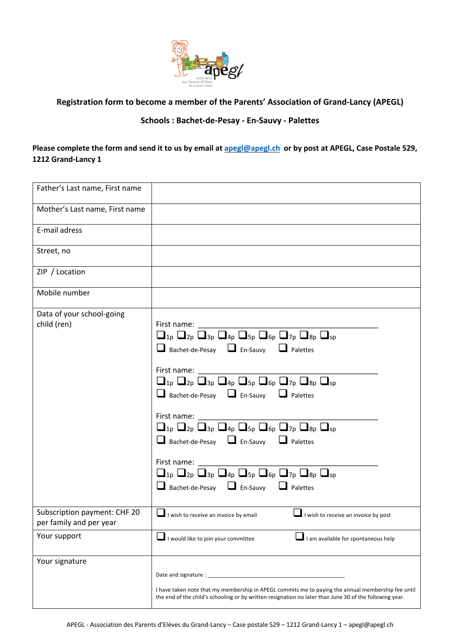

## **Registration form to become a member of the Parents' Association of Grand-Lancy (APEGL)**

## **Schools : Bachet-de-Pesay - En-Sauvy - Palettes**

**Please complete the form and send it to us by email at apegl@apegl.ch or by post at APEGL, Case Postale 529, 1212 Grand-Lancy 1**

| Father's Last name, First name                          |                                                                                                                                                                                                                                                                                                                                                                                                                                                                                                                                                                                                                                                                                        |
|---------------------------------------------------------|----------------------------------------------------------------------------------------------------------------------------------------------------------------------------------------------------------------------------------------------------------------------------------------------------------------------------------------------------------------------------------------------------------------------------------------------------------------------------------------------------------------------------------------------------------------------------------------------------------------------------------------------------------------------------------------|
| Mother's Last name, First name                          |                                                                                                                                                                                                                                                                                                                                                                                                                                                                                                                                                                                                                                                                                        |
| E-mail adress                                           |                                                                                                                                                                                                                                                                                                                                                                                                                                                                                                                                                                                                                                                                                        |
| Street, no                                              |                                                                                                                                                                                                                                                                                                                                                                                                                                                                                                                                                                                                                                                                                        |
| ZIP / Location                                          |                                                                                                                                                                                                                                                                                                                                                                                                                                                                                                                                                                                                                                                                                        |
| Mobile number                                           |                                                                                                                                                                                                                                                                                                                                                                                                                                                                                                                                                                                                                                                                                        |
| Data of your school-going<br>child (ren)                | First name:<br>$\Box_{1p} \Box_{2p} \Box_{3p} \Box_{4p} \Box_{5p} \Box_{6p} \Box_{7p} \Box_{8p} \Box_{sp}$<br>Bachet-de-Pesay <b>D</b> En-Sauvy <b>D</b> Palettes<br>First name:<br>$\Box_{1p} \Box_{2p} \Box_{3p} \Box_{4p} \Box_{5p} \Box_{6p} \Box_{7p} \Box_{8p} \Box_{sp}$<br>Bachet-de-Pesay <b>D</b> En-Sauvy <b>D</b> Palettes<br>First name:<br>$\Box_{1p} \Box_{2p} \Box_{3p} \Box_{4p} \Box_{5p} \Box_{6p} \Box_{7p} \Box_{8p} \Box_{sp}$<br>$\Box$ Bachet-de-Pesay $\Box$ En-Sauvy $\Box$ Palettes<br>First name:<br>$\Box_{1p} \Box_{2p} \Box_{3p} \Box_{4p} \Box_{5p} \Box_{6p} \Box_{7p} \Box_{8p} \Box_{sp}$<br>$\Box$ Bachet-de-Pesay $\Box$ En-Sauvy $\Box$ Palettes |
| Subscription payment: CHF 20<br>per family and per year | $\Box$ I wish to receive an invoice by email<br>$\Box$ I wish to receive an invoice by post                                                                                                                                                                                                                                                                                                                                                                                                                                                                                                                                                                                            |
| Your support                                            | I would like to join your committee<br>I am available for spontaneous help                                                                                                                                                                                                                                                                                                                                                                                                                                                                                                                                                                                                             |
| Your signature                                          | I have taken note that my membership in APEGL commits me to paying the annual membership fee until<br>the end of the child's schooling or by written resignation no later than June 30 of the following year.                                                                                                                                                                                                                                                                                                                                                                                                                                                                          |